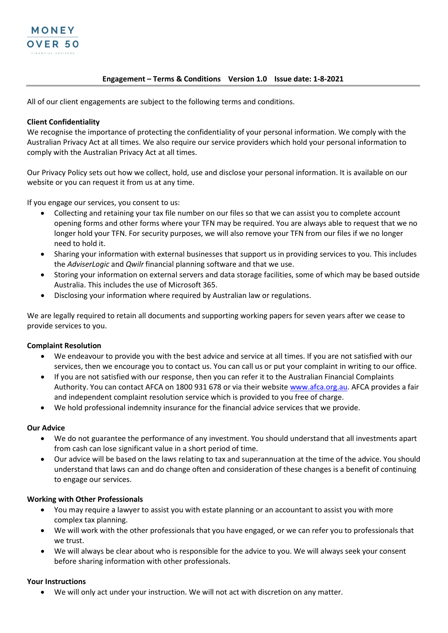

### **Engagement – Terms & Conditions Version 1.0 Issue date: 1-8-2021**

All of our client engagements are subject to the following terms and conditions.

### **Client Confidentiality**

We recognise the importance of protecting the confidentiality of your personal information. We comply with the Australian Privacy Act at all times. We also require our service providers which hold your personal information to comply with the Australian Privacy Act at all times.

Our Privacy Policy sets out how we collect, hold, use and disclose your personal information. It is available on our website or you can request it from us at any time.

If you engage our services, you consent to us:

- Collecting and retaining your tax file number on our files so that we can assist you to complete account opening forms and other forms where your TFN may be required. You are always able to request that we no longer hold your TFN. For security purposes, we will also remove your TFN from our files if we no longer need to hold it.
- Sharing your information with external businesses that support us in providing services to you. This includes the *AdviserLogic* and *Qwilr* financial planning software and that we use.
- Storing your information on external servers and data storage facilities, some of which may be based outside Australia. This includes the use of Microsoft 365.
- Disclosing your information where required by Australian law or regulations.

We are legally required to retain all documents and supporting working papers for seven years after we cease to provide services to you.

## **Complaint Resolution**

- We endeavour to provide you with the best advice and service at all times. If you are not satisfied with our services, then we encourage you to contact us. You can call us or put your complaint in writing to our office.
- If you are not satisfied with our response, then you can refer it to the Australian Financial Complaints Authority. You can contact AFCA on 1800 931 678 or via their websit[e www.afca.org.au.](https://www.afca.org.au/) AFCA provides a fair and independent complaint resolution service which is provided to you free of charge.
- We hold professional indemnity insurance for the financial advice services that we provide.

#### **Our Advice**

- We do not guarantee the performance of any investment. You should understand that all investments apart from cash can lose significant value in a short period of time.
- Our advice will be based on the laws relating to tax and superannuation at the time of the advice. You should understand that laws can and do change often and consideration of these changes is a benefit of continuing to engage our services.

#### **Working with Other Professionals**

- You may require a lawyer to assist you with estate planning or an accountant to assist you with more complex tax planning.
- We will work with the other professionals that you have engaged, or we can refer you to professionals that we trust.
- We will always be clear about who is responsible for the advice to you. We will always seek your consent before sharing information with other professionals.

#### **Your Instructions**

• We will only act under your instruction. We will not act with discretion on any matter.